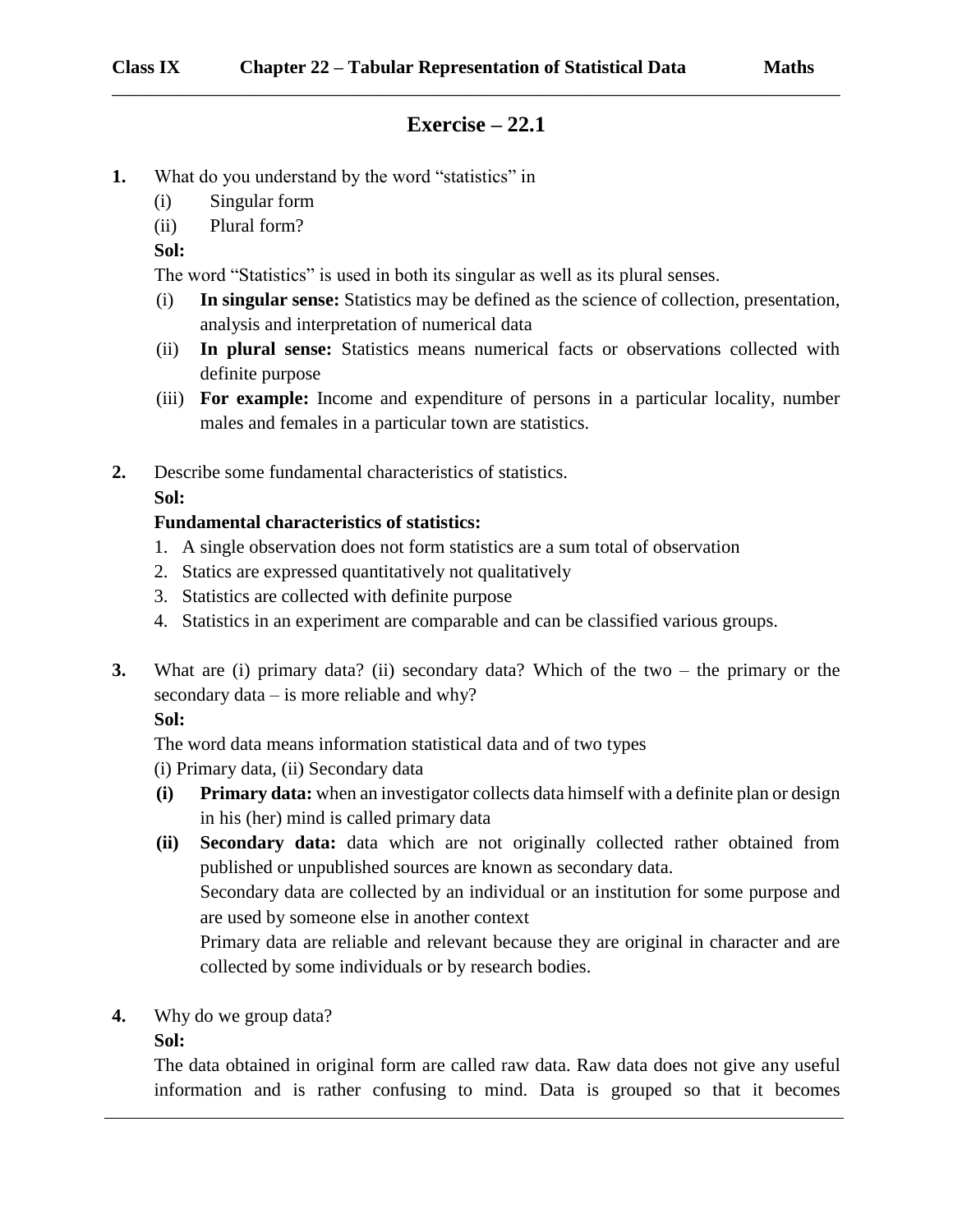## **Exercise – 22.1**

\_\_\_\_\_\_\_\_\_\_\_\_\_\_\_\_\_\_\_\_\_\_\_\_\_\_\_\_\_\_\_\_\_\_\_\_\_\_\_\_\_\_\_\_\_\_\_\_\_\_\_\_\_\_\_\_\_\_\_\_\_\_\_\_\_\_\_\_\_\_\_\_\_\_\_\_\_\_

- **1.** What do you understand by the word "statistics" in
	- (i) Singular form
	- (ii) Plural form?
	- **Sol:**

The word "Statistics" is used in both its singular as well as its plural senses.

- (i) **In singular sense:** Statistics may be defined as the science of collection, presentation, analysis and interpretation of numerical data
- (ii) **In plural sense:** Statistics means numerical facts or observations collected with definite purpose
- (iii) **For example:** Income and expenditure of persons in a particular locality, number males and females in a particular town are statistics.
- **2.** Describe some fundamental characteristics of statistics.

**Sol:**

### **Fundamental characteristics of statistics:**

- 1. A single observation does not form statistics are a sum total of observation
- 2. Statics are expressed quantitatively not qualitatively
- 3. Statistics are collected with definite purpose
- 4. Statistics in an experiment are comparable and can be classified various groups.
- **3.** What are (i) primary data? (ii) secondary data? Which of the two the primary or the secondary data – is more reliable and why?

**Sol:**

The word data means information statistical data and of two types

(i) Primary data, (ii) Secondary data

- **(i) Primary data:** when an investigator collects data himself with a definite plan or design in his (her) mind is called primary data
- **(ii) Secondary data:** data which are not originally collected rather obtained from published or unpublished sources are known as secondary data.

Secondary data are collected by an individual or an institution for some purpose and are used by someone else in another context

Primary data are reliable and relevant because they are original in character and are collected by some individuals or by research bodies.

**4.** Why do we group data?

#### **Sol:**

The data obtained in original form are called raw data. Raw data does not give any useful information and is rather confusing to mind. Data is grouped so that it becomes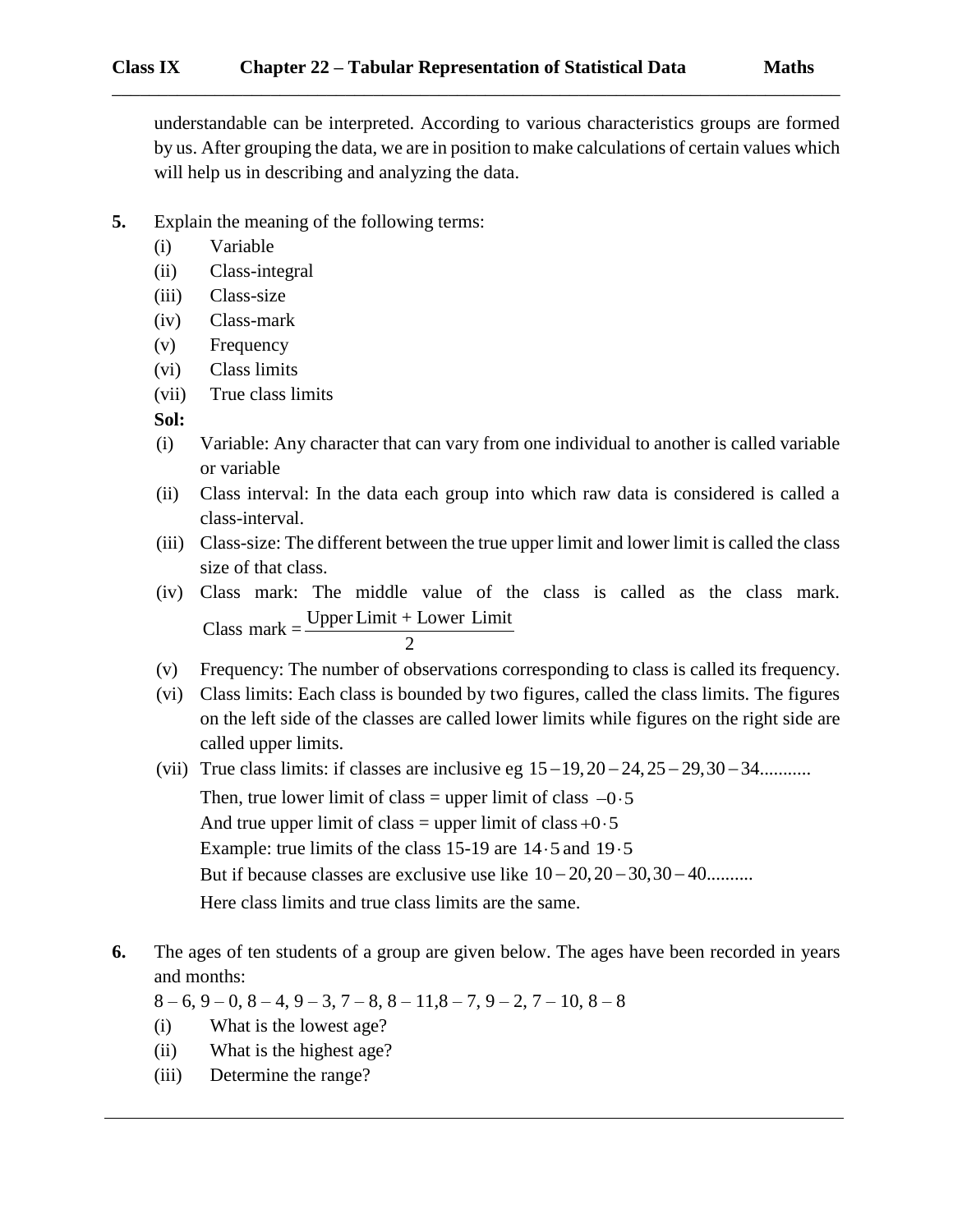understandable can be interpreted. According to various characteristics groups are formed by us. After grouping the data, we are in position to make calculations of certain values which will help us in describing and analyzing the data.

\_\_\_\_\_\_\_\_\_\_\_\_\_\_\_\_\_\_\_\_\_\_\_\_\_\_\_\_\_\_\_\_\_\_\_\_\_\_\_\_\_\_\_\_\_\_\_\_\_\_\_\_\_\_\_\_\_\_\_\_\_\_\_\_\_\_\_\_\_\_\_\_\_\_\_\_\_\_

- **5.** Explain the meaning of the following terms:
	- (i) Variable
	- (ii) Class-integral
	- (iii) Class-size
	- (iv) Class-mark
	- (v) Frequency
	- (vi) Class limits
	- (vii) True class limits

### **Sol:**

- (i) Variable: Any character that can vary from one individual to another is called variable or variable
- (ii) Class interval: In the data each group into which raw data is considered is called a class-interval.
- (iii) Class-size: The different between the true upper limit and lower limit is called the class size of that class.
- (iv) Class mark: The middle value of the class is called as the class mark. Class mark: The middle value of t<br>Class mark =  $\frac{\text{Upper Limit} + \text{Lower Limit}}{2}$
- (v) Frequency: The number of observations corresponding to class is called its frequency.
- (vi) Class limits: Each class is bounded by two figures, called the class limits. The figures on the left side of the classes are called lower limits while figures on the right side are called upper limits.
- (vii) True class limits: if classes are inclusive eg  $15-19, 20-24, 25-29, 30-34$ ..........

Then, true lower limit of class = upper limit of class  $-0.5$ And true upper limit of class = upper limit of class  $+0.5$ Example: true limits of the class 15-19 are  $14 \cdot 5$  and  $19 \cdot 5$ But if because classes are exclusive use like  $10-20, 20-30, 30-40$ ......... Here class limits and true class limits are the same.

**6.** The ages of ten students of a group are given below. The ages have been recorded in years and months:

 $8 - 6$ ,  $9 - 0$ ,  $8 - 4$ ,  $9 - 3$ ,  $7 - 8$ ,  $8 - 11$ ,  $8 - 7$ ,  $9 - 2$ ,  $7 - 10$ ,  $8 - 8$ 

- (i) What is the lowest age?
- (ii) What is the highest age?
- (iii) Determine the range?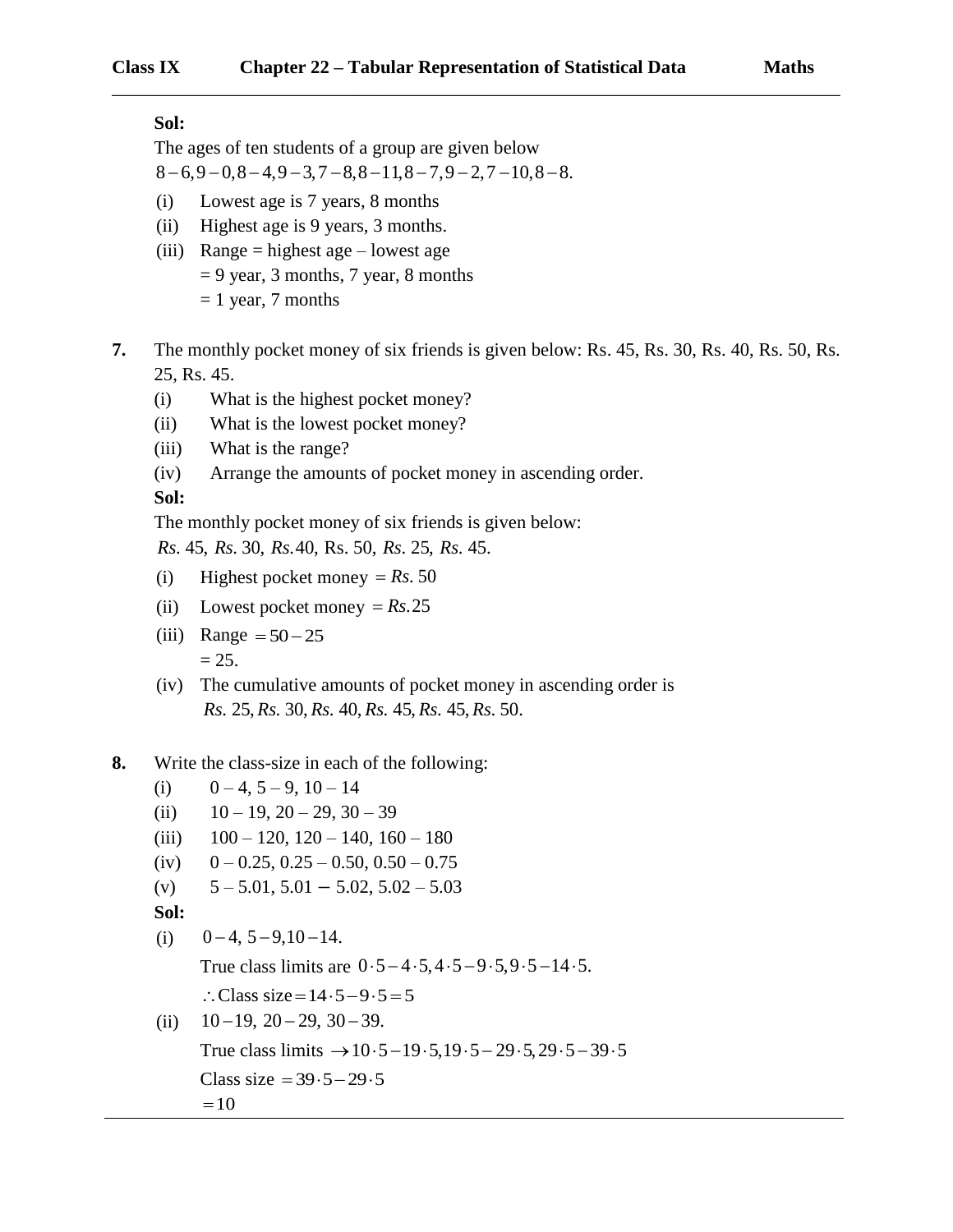#### **Sol:**

The ages of ten students of a group are given below  $8 - 6,9 - 0,8 - 4,9 - 3,7 - 8,8 - 11,8 - 7,9 - 2,7 - 10,8 - 8.$ 

- (i) Lowest age is 7 years, 8 months
- (ii) Highest age is 9 years, 3 months.
- (iii) Range = highest age lowest age  $= 9$  year, 3 months, 7 year, 8 months  $= 1$  year, 7 months
- **7.** The monthly pocket money of six friends is given below: Rs. 45, Rs. 30, Rs. 40, Rs. 50, Rs. 25, Rs. 45.

\_\_\_\_\_\_\_\_\_\_\_\_\_\_\_\_\_\_\_\_\_\_\_\_\_\_\_\_\_\_\_\_\_\_\_\_\_\_\_\_\_\_\_\_\_\_\_\_\_\_\_\_\_\_\_\_\_\_\_\_\_\_\_\_\_\_\_\_\_\_\_\_\_\_\_\_\_\_

- (i) What is the highest pocket money?
- (ii) What is the lowest pocket money?
- (iii) What is the range?
- (iv) Arrange the amounts of pocket money in ascending order.

**Sol:**

The monthly pocket money of six friends is given below:

*Rs Rs Rs Rs Rs* . 45, . 30, .40, Rs. 50, . 25, . 45.

- $(i)$  Highest pocket money = Rs. 50
- $(i)$  Lowest pocket money =  $Rs.25$
- (iii) Range  $= 50 25$  $= 25.$
- (iv) The cumulative amounts of pocket money in ascending order is *Rs 25, Rs<sub></sub> 30, Rs* 40, *Rs* 45, *Rs* 45, *Rs* 50.

### **8.** Write the class-size in each of the following:

- (i)  $0 4$ ,  $5 9$ ,  $10 14$
- (ii)  $10 19$ ,  $20 29$ ,  $30 39$
- (iii)  $100 120$ ,  $120 140$ ,  $160 180$
- (iv)  $0 0.25, 0.25 0.50, 0.50 0.75$
- (v)  $5 5.01, 5.01 5.02, 5.02 5.03$

**Sol:**

(i)  $0 - 4$ ,  $5 - 9$ ,  $10 - 14$ .

True class limits are  $0.5 - 4.5, 4.5 - 9.5, 9.5 - 14.5$ .

- $\therefore$  Class size = 14 · 5 9 · 5 = 5
- (ii)  $10 - 19$ ,  $20 - 29$ ,  $30 - 39$ .

True class limits  $\rightarrow 10 \cdot 5 - 19 \cdot 5, 19 \cdot 5 - 29 \cdot 5, 29 \cdot 5 - 39 \cdot 5$ 

Class size =  $39.5 - 29.5$ 

 $=10$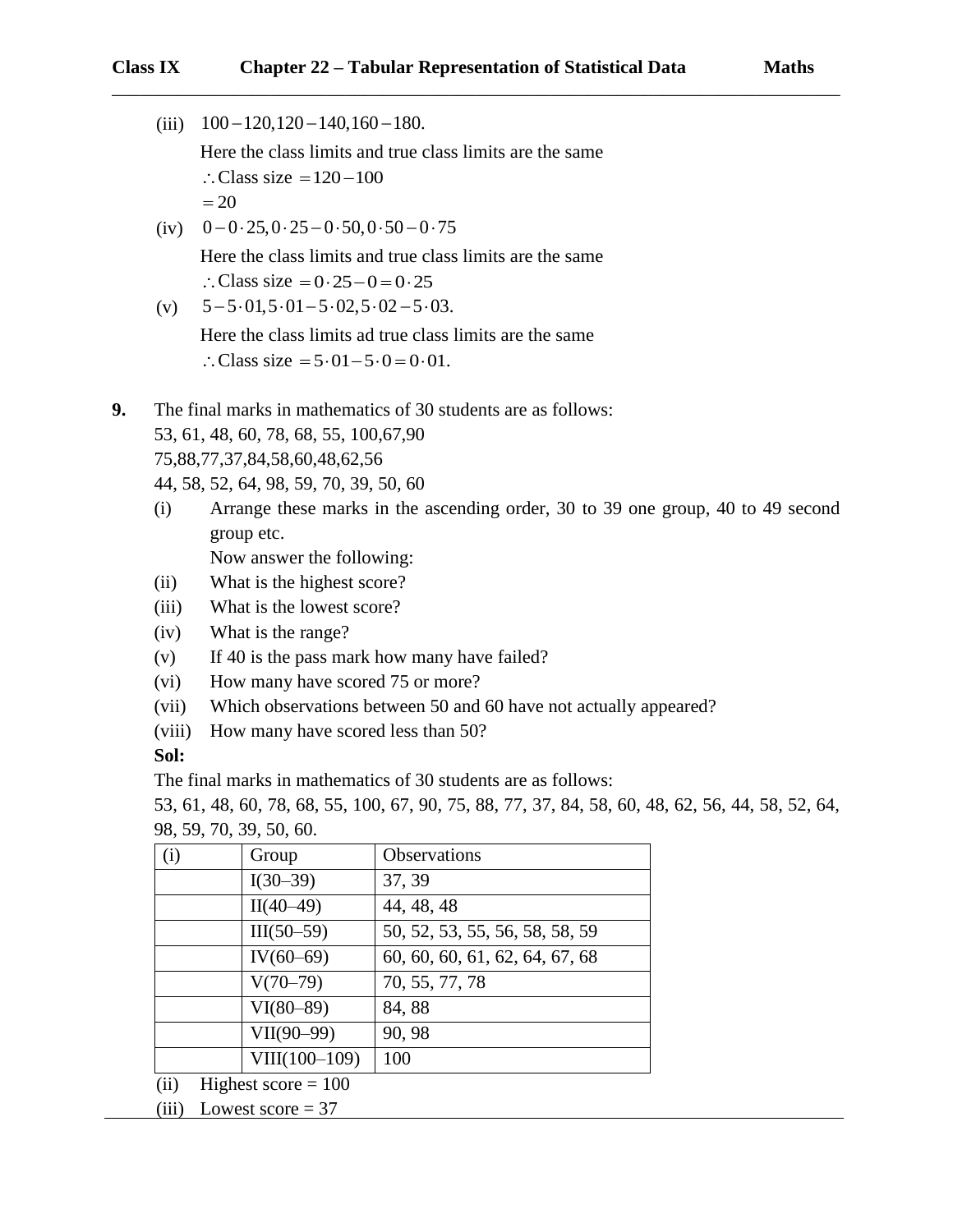(iii)  $100 - 120,120 - 140,160 - 180.$ Here the class limits and true class limits are the same  $\therefore$  Class size = 120 - 100  $=20$ 

(iv)  $0 - 0.25, 0.25 - 0.50, 0.50 - 0.75$ Here the class limits and true class limits are the same  $\therefore$  Class size = 0.25 - 0 = 0.25

(v)  $5 - 5 \cdot 01, 5 \cdot 01 - 5 \cdot 02, 5 \cdot 02 - 5 \cdot 03.$ 

Here the class limits ad true class limits are the same  $\therefore$  Class size = 5 $\cdot$ 01-5 $\cdot$ 0=0 $\cdot$ 01.

- **9.** The final marks in mathematics of 30 students are as follows: 53, 61, 48, 60, 78, 68, 55, 100,67,90 75,88,77,37,84,58,60,48,62,56
	- 44, 58, 52, 64, 98, 59, 70, 39, 50, 60
	- (i) Arrange these marks in the ascending order, 30 to 39 one group, 40 to 49 second group etc.

Now answer the following:

- (ii) What is the highest score?
- (iii) What is the lowest score?
- (iv) What is the range?
- (v) If 40 is the pass mark how many have failed?
- (vi) How many have scored 75 or more?
- (vii) Which observations between 50 and 60 have not actually appeared?
- (viii) How many have scored less than 50?

**Sol:**

The final marks in mathematics of 30 students are as follows:

53, 61, 48, 60, 78, 68, 55, 100, 67, 90, 75, 88, 77, 37, 84, 58, 60, 48, 62, 56, 44, 58, 52, 64, 98, 59, 70, 39, 50, 60.

| (i)  | Group                 | Observations                   |
|------|-----------------------|--------------------------------|
|      | $I(30-39)$            | 37, 39                         |
|      | $II(40-49)$           | 44, 48, 48                     |
|      | $III(50-59)$          | 50, 52, 53, 55, 56, 58, 58, 59 |
|      | $IV(60-69)$           | 60, 60, 60, 61, 62, 64, 67, 68 |
|      | $V(70-79)$            | 70, 55, 77, 78                 |
|      | $VI(80-89)$           | 84,88                          |
|      | $VII(90-99)$          | 90, 98                         |
|      | $VIII(100-109)$       | 100                            |
| (ii) | Highest score $= 100$ |                                |
|      |                       |                                |

(iii) Lowest score  $= 37$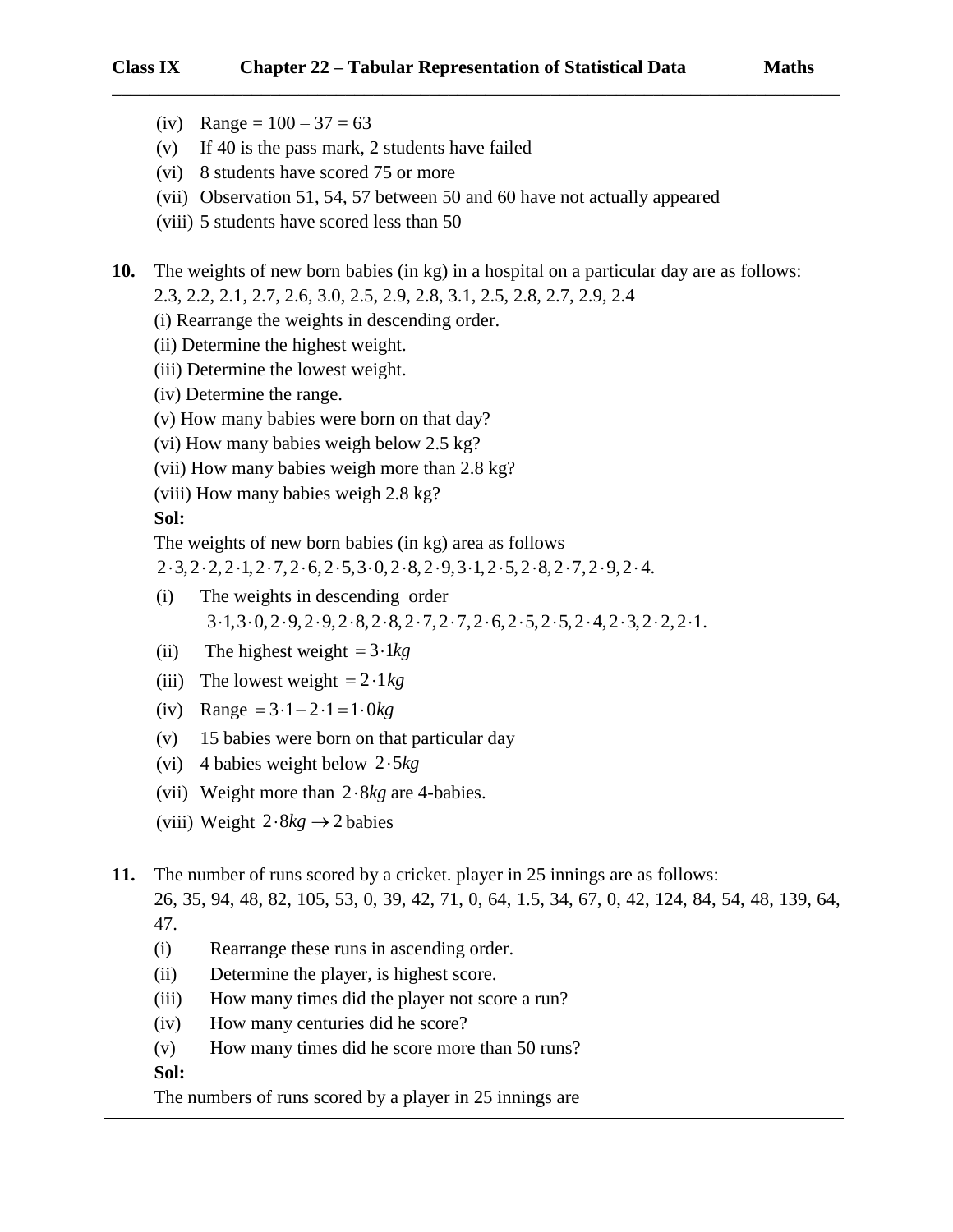#### **Class IX Chapter 22 – Tabular Representation of Statistical Data Maths**

- (iv) Range =  $100 37 = 63$
- (v) If 40 is the pass mark, 2 students have failed
- (vi) 8 students have scored 75 or more
- (vii) Observation 51, 54, 57 between 50 and 60 have not actually appeared
- (viii) 5 students have scored less than 50

**10.** The weights of new born babies (in kg) in a hospital on a particular day are as follows: 2.3, 2.2, 2.1, 2.7, 2.6, 3.0, 2.5, 2.9, 2.8, 3.1, 2.5, 2.8, 2.7, 2.9, 2.4

\_\_\_\_\_\_\_\_\_\_\_\_\_\_\_\_\_\_\_\_\_\_\_\_\_\_\_\_\_\_\_\_\_\_\_\_\_\_\_\_\_\_\_\_\_\_\_\_\_\_\_\_\_\_\_\_\_\_\_\_\_\_\_\_\_\_\_\_\_\_\_\_\_\_\_\_\_\_

- (i) Rearrange the weights in descending order.
- (ii) Determine the highest weight.
- (iii) Determine the lowest weight.
- (iv) Determine the range.
- (v) How many babies were born on that day?
- (vi) How many babies weigh below 2.5 kg?
- (vii) How many babies weigh more than 2.8 kg?
- (viii) How many babies weigh 2.8 kg?

**Sol:**

The weights of new born babies (in kg) area as follows

 $2 \cdot 3, 2 \cdot 2, 2 \cdot 1, 2 \cdot 7, 2 \cdot 6, 2 \cdot 5, 3 \cdot 0, 2 \cdot 8, 2 \cdot 9, 3 \cdot 1, 2 \cdot 5, 2 \cdot 8, 2 \cdot 7, 2 \cdot 9, 2 \cdot 4.$ 

- (i) The weights in descending order  $3.1, 3.0, 2.9, 2.9, 2.8, 2.8, 2.7, 2.7, 2.6, 2.5, 2.5, 2.4, 2.3, 2.2, 2.1.$
- (ii) The highest weight  $= 3.1kg$
- (iii) The lowest weight  $= 2.1 kg$
- $(iv)$  Range =  $3 \cdot 1 2 \cdot 1 = 1 \cdot 0$ *kg*
- (v) 15 babies were born on that particular day
- (vi) 4 babies weight below 2 5 *kg*
- (vii) Weight more than  $2.8kg$  are 4-babies.
- (viii) Weight  $2.8kg \rightarrow 2$  babies

**11.** The number of runs scored by a cricket. player in 25 innings are as follows:

26, 35, 94, 48, 82, 105, 53, 0, 39, 42, 71, 0, 64, 1.5, 34, 67, 0, 42, 124, 84, 54, 48, 139, 64, 47.

- (i) Rearrange these runs in ascending order.
- (ii) Determine the player, is highest score.
- (iii) How many times did the player not score a run?
- (iv) How many centuries did he score?
- (v) How many times did he score more than 50 runs?

#### **Sol:**

The numbers of runs scored by a player in 25 innings are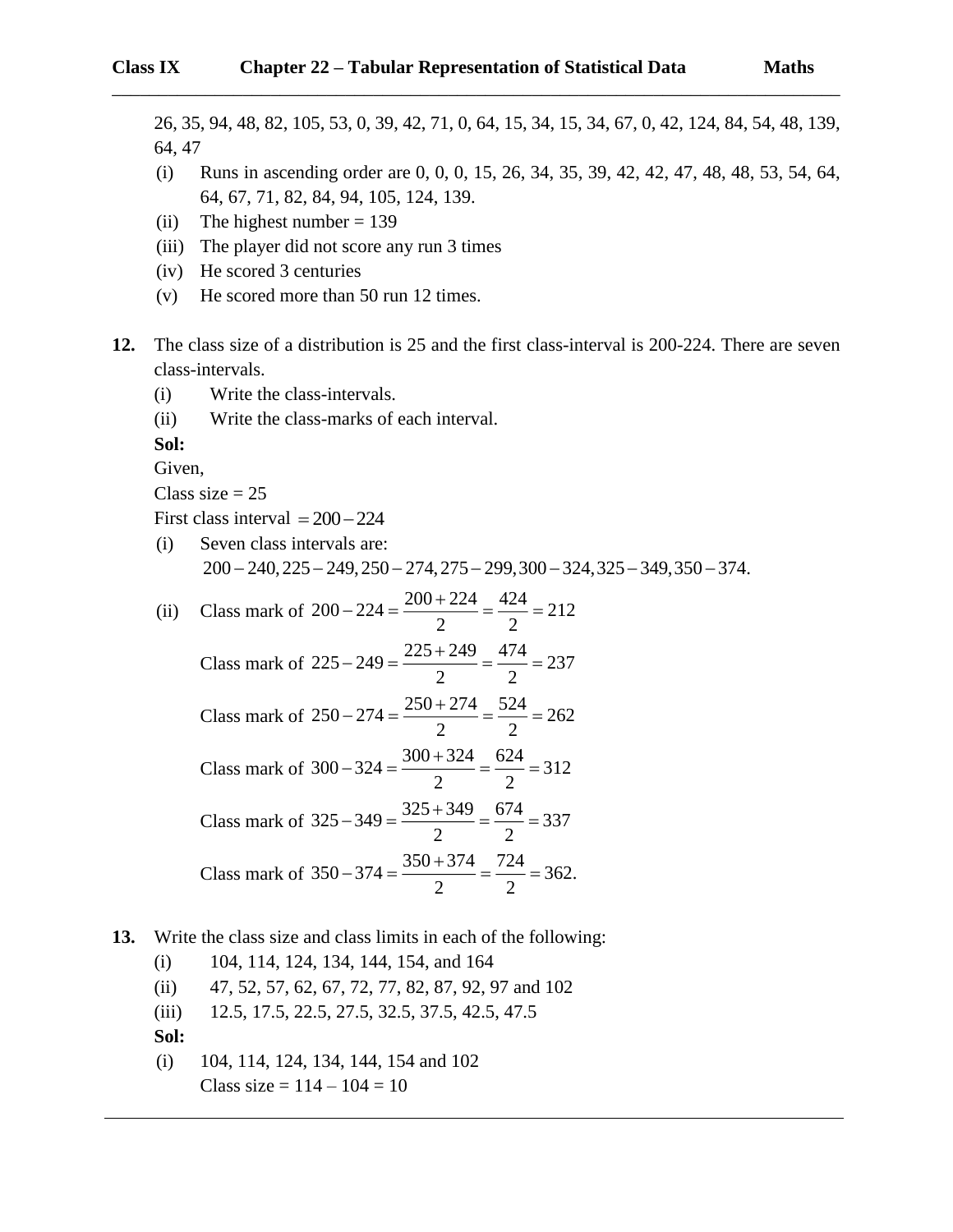26, 35, 94, 48, 82, 105, 53, 0, 39, 42, 71, 0, 64, 15, 34, 15, 34, 67, 0, 42, 124, 84, 54, 48, 139, 64, 47 (i) Runs in ascending order are 0, 0, 0, 15, 26, 34, 35, 39, 42, 42, 47, 48, 48, 53, 54, 64, 64, 67, 71, 82, 84, 94, 105, 124, 139. (ii) The highest number  $= 139$ (iii) The player did not score any run 3 times (iv) He scored 3 centuries (v) He scored more than 50 run 12 times. **12.** The class size of a distribution is 25 and the first class-interval is 200-224. There are seven class-intervals. (i) Write the class-intervals. (ii) Write the class-marks of each interval. **Sol:** Given, Class size  $= 25$ First class interval  $= 200 - 224$ (i) Seven class intervals are:  $200 - 240,225 - 249,250 - 274,275 - 299,300 - 324,325 - 349,350 - 374.$ (ii) Class mark of  $200 - 224 = \frac{200 + 224}{2} = \frac{424}{3} = 212$ 2 2  $-224 = \frac{200 + 224}{ } = \frac{424}{ } =$ Class mark of  $225 - 249 = \frac{225 + 249}{2} = \frac{474}{3} = 237$ 2 2  $-249 = \frac{225 + 249}{ } = \frac{474}{ } =$ Class mark of  $250 - 274 = \frac{250 + 274}{2} = \frac{524}{3} = 262$ 2 2  $-274 = \frac{250 + 274}{ } = \frac{524}{ } =$ Class mark of  $300 - 324 = \frac{300 + 324}{2} = \frac{624}{3} = 312$ 2 2  $-324 = \frac{300 + 324}{ } = \frac{624}{ } =$ Class mark of  $325 - 349 = \frac{325 + 349}{2} = \frac{674}{3} = 337$ 2 2  $-349 = \frac{325 + 349}{ } = \frac{674}{ } =$ Class mark of  $350 - 374 = \frac{350 + 374}{2} = \frac{724}{3} = 362$ . 2 2  $-374 = \frac{350 + 374}{ } = \frac{724}{ } =$ **13.** Write the class size and class limits in each of the following: (i) 104, 114, 124, 134, 144, 154, and 164 (ii) 47, 52, 57, 62, 67, 72, 77, 82, 87, 92, 97 and 102 (iii) 12.5, 17.5, 22.5, 27.5, 32.5, 37.5, 42.5, 47.5 **Sol:** (i) 104, 114, 124, 134, 144, 154 and 102 Class size =  $114 - 104 = 10$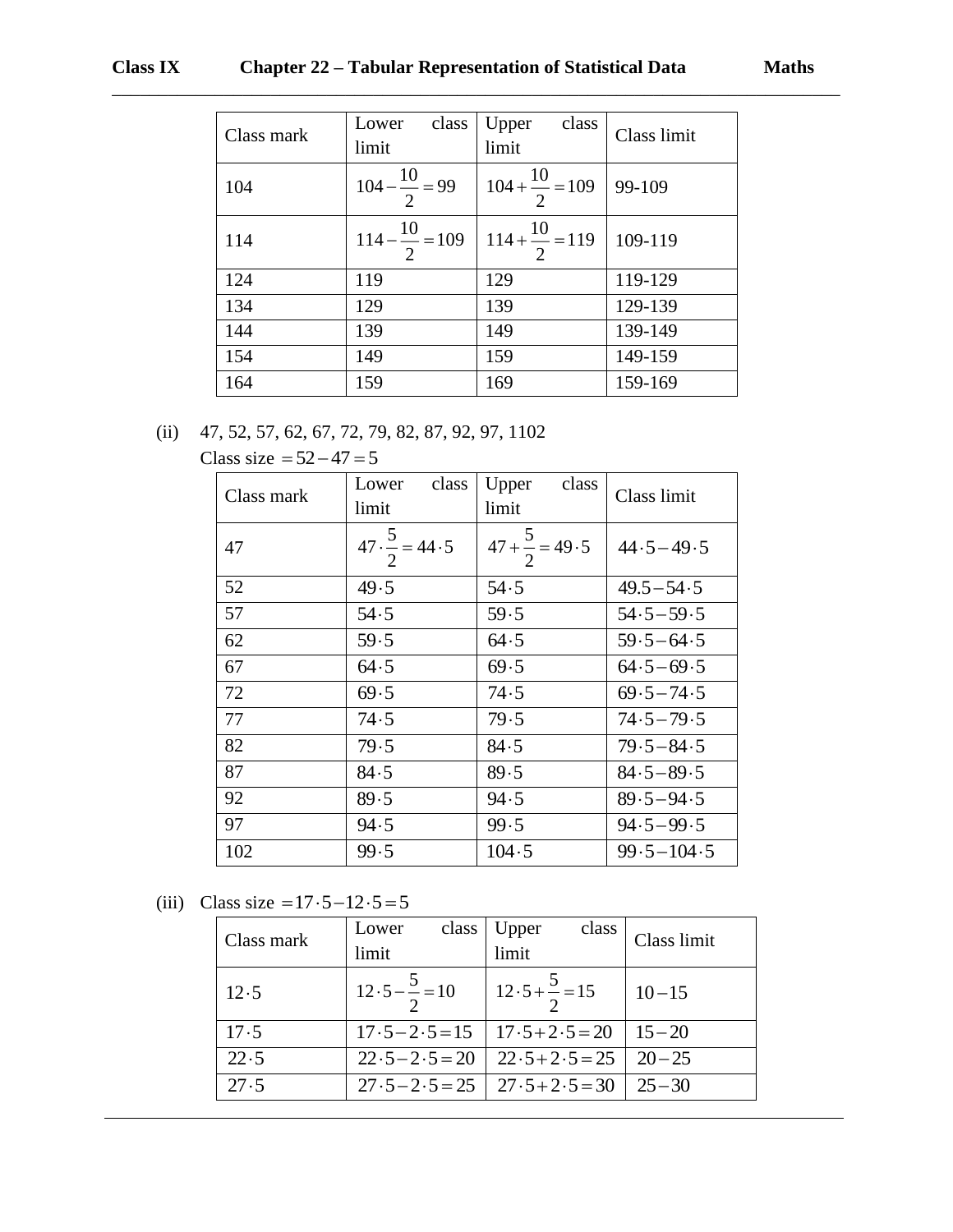## **Class IX Chapter 22 – Tabular Representation of Statistical Data Maths**

| Class mark | class<br>Lower<br>limit    | class<br>Upper<br>limit              | Class limit |
|------------|----------------------------|--------------------------------------|-------------|
| 104        | $104 - \frac{10}{1} = 99$  | $104 + \frac{10}{2} = 109$           | 99-109      |
| 114        | $114 - \frac{10}{2} = 109$ | $\frac{1}{114} + \frac{10}{2} = 119$ | 109-119     |
| 124        | 119                        | 129                                  | 119-129     |
| 134        | 129                        | 139                                  | 129-139     |
| 144        | 139                        | 149                                  | 139-149     |
| 154        | 149                        | 159                                  | 149-159     |
| 164        | 159                        | 169                                  | 159-169     |

\_\_\_\_\_\_\_\_\_\_\_\_\_\_\_\_\_\_\_\_\_\_\_\_\_\_\_\_\_\_\_\_\_\_\_\_\_\_\_\_\_\_\_\_\_\_\_\_\_\_\_\_\_\_\_\_\_\_\_\_\_\_\_\_\_\_\_\_\_\_\_\_\_\_\_\_\_\_

# (ii) 47, 52, 57, 62, 67, 72, 79, 82, 87, 92, 97, 1102 Class size  $= 52 - 47 = 5$

| Class mark | class<br>Lower<br>limit       | class<br>Upper<br>limit             | Class limit    |
|------------|-------------------------------|-------------------------------------|----------------|
| 47         | $47 \cdot \frac{5}{2} = 44.5$ | $\frac{1}{47 + \frac{5}{2}} = 49.5$ | $44.5 - 49.5$  |
| 52         | 49.5                          | 54.5                                | $49.5 - 54.5$  |
| 57         | 54.5                          | 59.5                                | $54.5 - 59.5$  |
| 62         | 59.5                          | 64.5                                | $59.5 - 64.5$  |
| 67         | 64.5                          | 69.5                                | $64.5 - 69.5$  |
| 72         | 69.5                          | 74.5                                | $69.5 - 74.5$  |
| 77         | 74.5                          | 79.5                                | $74.5 - 79.5$  |
| 82         | 79.5                          | 84.5                                | $79.5 - 84.5$  |
| 87         | 84.5                          | 89.5                                | $84.5 - 89.5$  |
| 92         | 89.5                          | 94.5                                | $89.5 - 94.5$  |
| 97         | 94.5                          | 99.5                                | $94.5 - 99.5$  |
| 102        | 99.5                          | 104.5                               | $99.5 - 104.5$ |

#### (iii) Class size  $= 17 \cdot 5 - 12 \cdot 5 = 5$

| Class mark | class<br>Lower<br>limit       | class<br>Upper<br>limit                           | Class limit |
|------------|-------------------------------|---------------------------------------------------|-------------|
| 12.5       | $12.5 - \frac{5}{2} = 10$     | $12.5 + \frac{5}{2} = 15$                         | $10 - 15$   |
| 17.5       |                               | $17.5 - 2.5 = 15$   $17.5 + 2.5 = 20$   $15 - 20$ |             |
| 22.5       | $22 \cdot 5 - 2 \cdot 5 = 20$ | $22 \cdot 5 + 2 \cdot 5 = 25$                     | $20 - 25$   |
| 27.5       |                               | $27.5 - 2.5 = 25$   $27.5 + 2.5 = 30$             | $25 - 30$   |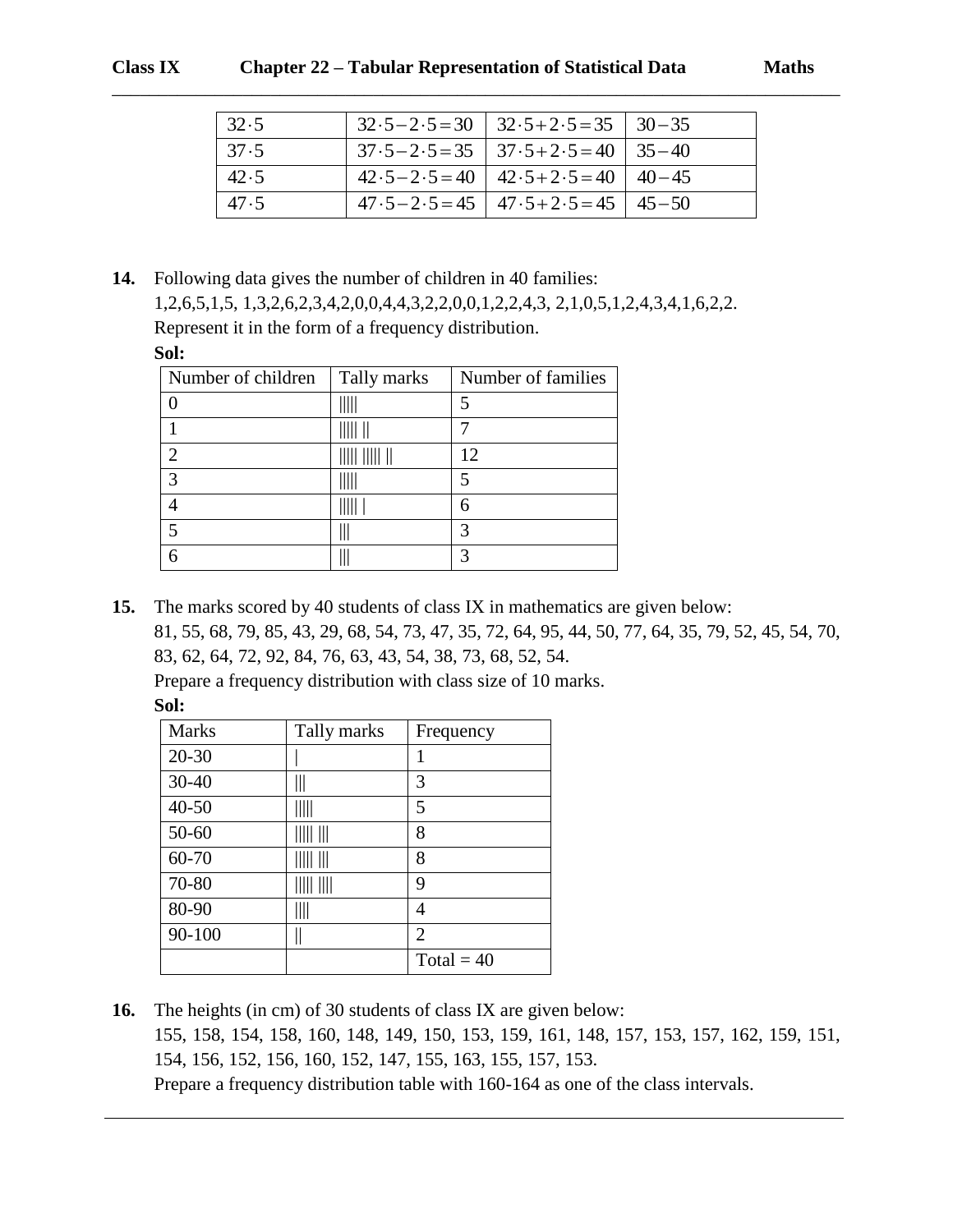| 32.5 | $32.5 - 2.5 = 30$   $32.5 + 2.5 = 35$   $30 - 35$ |  |
|------|---------------------------------------------------|--|
| 37.5 | $37.5 - 2.5 = 35$   $37.5 + 2.5 = 40$   $35 - 40$ |  |
| 42.5 | $42.5 - 2.5 = 40$ $42.5 + 2.5 = 40$ $40 - 45$     |  |
| 47.5 | $47.5 - 2.5 = 45$   $47.5 + 2.5 = 45$   $45 - 50$ |  |

**14.** Following data gives the number of children in 40 families: 1,2,6,5,1,5, 1,3,2,6,2,3,4,2,0,0,4,4,3,2,2,0,0,1,2,2,4,3, 2,1,0,5,1,2,4,3,4,1,6,2,2. Represent it in the form of a frequency distribution. **Sol:**

| Number of children | Tally marks | Number of families |
|--------------------|-------------|--------------------|
|                    |             |                    |
|                    |             |                    |
|                    |             | 12                 |
| $\mathbf{c}$       |             | 5                  |
|                    |             | 6                  |
|                    |             |                    |
|                    |             |                    |

**15.** The marks scored by 40 students of class IX in mathematics are given below: 81, 55, 68, 79, 85, 43, 29, 68, 54, 73, 47, 35, 72, 64, 95, 44, 50, 77, 64, 35, 79, 52, 45, 54, 70, 83, 62, 64, 72, 92, 84, 76, 63, 43, 54, 38, 73, 68, 52, 54.

Prepare a frequency distribution with class size of 10 marks. **Sol:**

| <b>Marks</b> | Tally marks | Frequency      |
|--------------|-------------|----------------|
| $20 - 30$    |             | 1              |
| $30 - 40$    | Ш           | 3              |
| $40 - 50$    | IIIII       | 5              |
| 50-60        |             | 8              |
| 60-70        | IIII III    | 8              |
| 70-80        |             | 9              |
| 80-90        | Ⅲ           | 4              |
| 90-100       |             | $\overline{2}$ |
|              |             | Total = $40$   |

**16.** The heights (in cm) of 30 students of class IX are given below: 155, 158, 154, 158, 160, 148, 149, 150, 153, 159, 161, 148, 157, 153, 157, 162, 159, 151, 154, 156, 152, 156, 160, 152, 147, 155, 163, 155, 157, 153. Prepare a frequency distribution table with 160-164 as one of the class intervals.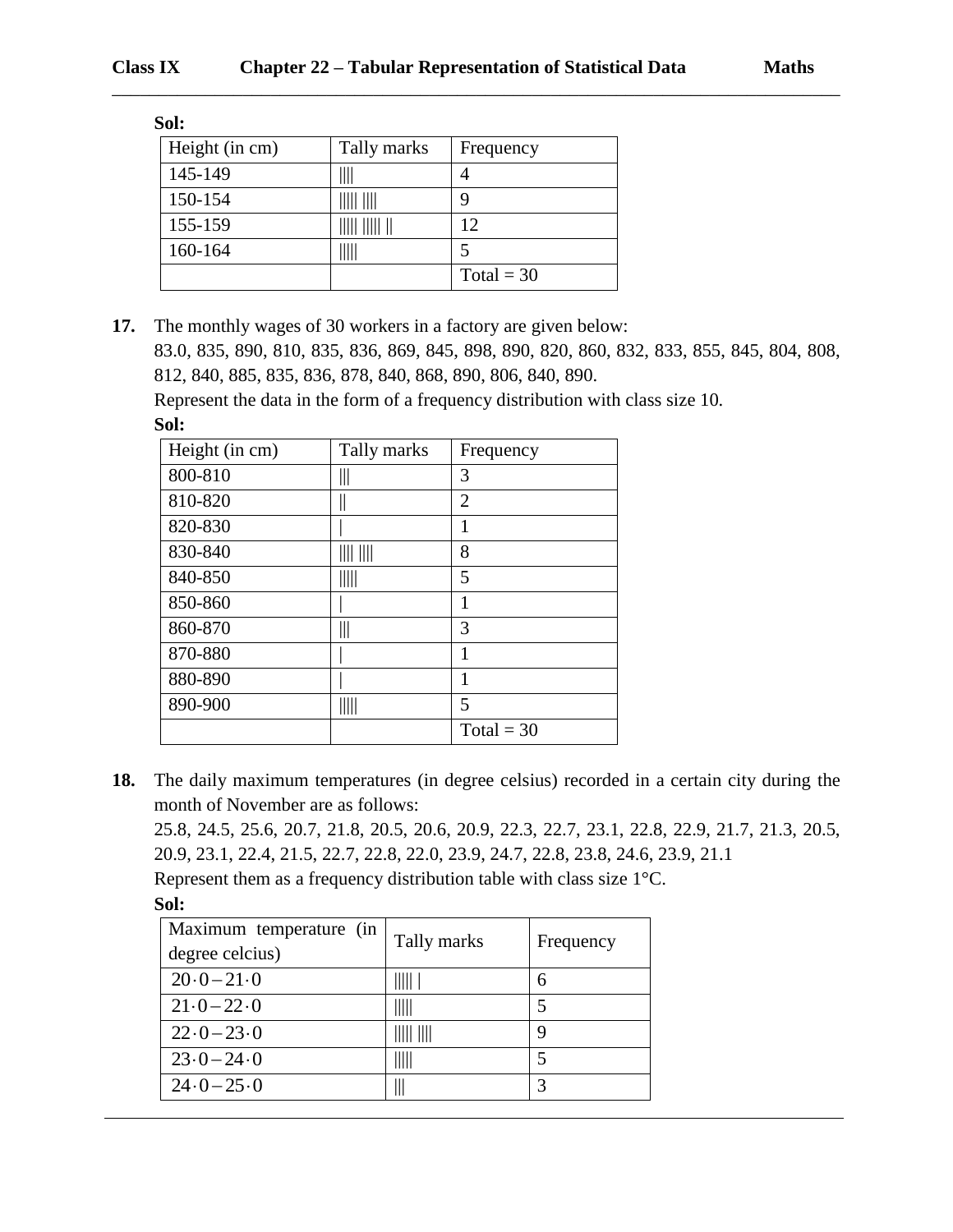| Sol:           |             |              |  |  |
|----------------|-------------|--------------|--|--|
| Height (in cm) | Tally marks | Frequency    |  |  |
| 145-149        |             |              |  |  |
| 150-154        |             | 9            |  |  |
| 155-159        |             | 12           |  |  |
| 160-164        |             | 5            |  |  |
|                |             | Total = $30$ |  |  |

**17.** The monthly wages of 30 workers in a factory are given below:

83.0, 835, 890, 810, 835, 836, 869, 845, 898, 890, 820, 860, 832, 833, 855, 845, 804, 808, 812, 840, 885, 835, 836, 878, 840, 868, 890, 806, 840, 890.

\_\_\_\_\_\_\_\_\_\_\_\_\_\_\_\_\_\_\_\_\_\_\_\_\_\_\_\_\_\_\_\_\_\_\_\_\_\_\_\_\_\_\_\_\_\_\_\_\_\_\_\_\_\_\_\_\_\_\_\_\_\_\_\_\_\_\_\_\_\_\_\_\_\_\_\_\_\_

Represent the data in the form of a frequency distribution with class size 10.

**Sol:**

| Height (in cm) | Tally marks | Frequency    |
|----------------|-------------|--------------|
| 800-810        | Ш           | 3            |
| 810-820        |             | 2            |
| 820-830        |             | 1            |
| 830-840        | IIII IIII   | 8            |
| 840-850        | IIIII       | 5            |
| 850-860        |             | 1            |
| 860-870        | 111         | 3            |
| 870-880        |             | 1            |
| 880-890        |             | 1            |
| 890-900        | IIIII       | 5            |
|                |             | Total = $30$ |

**18.** The daily maximum temperatures (in degree celsius) recorded in a certain city during the month of November are as follows:

25.8, 24.5, 25.6, 20.7, 21.8, 20.5, 20.6, 20.9, 22.3, 22.7, 23.1, 22.8, 22.9, 21.7, 21.3, 20.5, 20.9, 23.1, 22.4, 21.5, 22.7, 22.8, 22.0, 23.9, 24.7, 22.8, 23.8, 24.6, 23.9, 21.1

Represent them as a frequency distribution table with class size 1°C.

| Maximum temperature (in<br>degree celcius) | Tally marks | Frequency |
|--------------------------------------------|-------------|-----------|
| $20.0 - 21.0$                              | IIIII I     | 6         |
| $21 \cdot 0 - 22 \cdot 0$                  |             |           |
| $22 \cdot 0 - 23 \cdot 0$                  | IIIII IIII  | 9         |
| $23.0 - 24.0$                              |             |           |
| $24.0 - 25.0$                              |             | 3         |

**Sol:**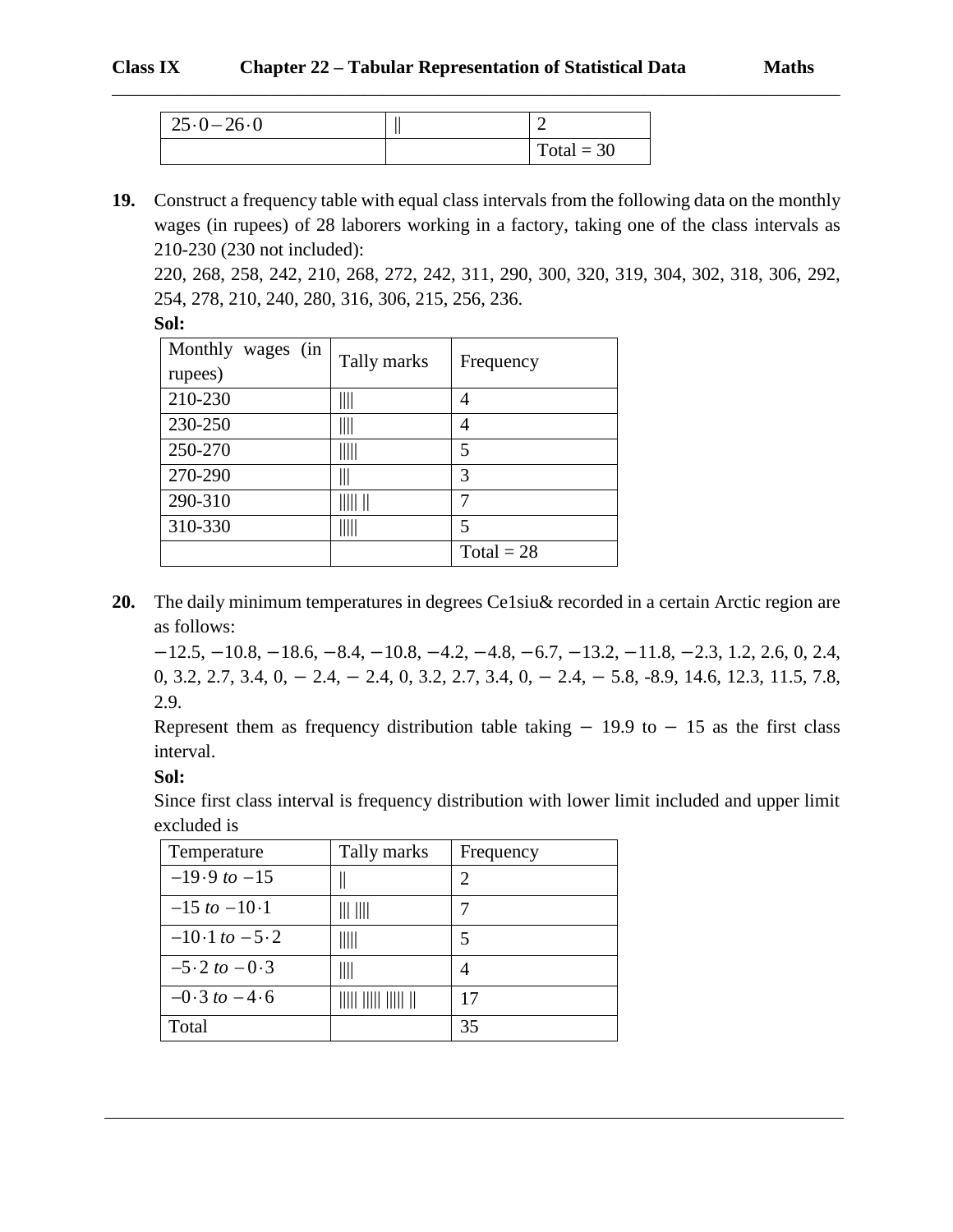| $25.0 - 26.0$ | ∼            |
|---------------|--------------|
|               | $Total = 30$ |

**19.** Construct a frequency table with equal class intervals from the following data on the monthly wages (in rupees) of 28 laborers working in a factory, taking one of the class intervals as 210-230 (230 not included):

\_\_\_\_\_\_\_\_\_\_\_\_\_\_\_\_\_\_\_\_\_\_\_\_\_\_\_\_\_\_\_\_\_\_\_\_\_\_\_\_\_\_\_\_\_\_\_\_\_\_\_\_\_\_\_\_\_\_\_\_\_\_\_\_\_\_\_\_\_\_\_\_\_\_\_\_\_\_

220, 268, 258, 242, 210, 268, 272, 242, 311, 290, 300, 320, 319, 304, 302, 318, 306, 292, 254, 278, 210, 240, 280, 316, 306, 215, 256, 236.

| Monthly wages (in<br>rupees) | Tally marks                     | Frequency    |
|------------------------------|---------------------------------|--------------|
| 210-230                      | $\parallel$                     | 4            |
| 230-250                      | $\parallel$                     | 4            |
| 250-270                      | $\parallel \parallel \parallel$ | 5            |
| 270-290                      | $\mathbb I$                     | 3            |
| 290-310                      |                                 |              |
| 310-330                      | Ш                               | 5            |
|                              |                                 | $Total = 28$ |

**20.** The daily minimum temperatures in degrees Ce1siu& recorded in a certain Arctic region are as follows:

−12.5, −10.8, −18.6, −8.4, −10.8, −4.2, −4.8, −6.7, −13.2, −11.8, −2.3, 1.2, 2.6, 0, 2.4, 0, 3.2, 2.7, 3.4, 0, − 2.4, − 2.4, 0, 3.2, 2.7, 3.4, 0, − 2.4, − 5.8, -8.9, 14.6, 12.3, 11.5, 7.8, 2.9.

Represent them as frequency distribution table taking  $-19.9$  to  $-15$  as the first class interval.

**Sol:**

Since first class interval is frequency distribution with lower limit included and upper limit excluded is

| Temperature       | Tally marks                               | Frequency |
|-------------------|-------------------------------------------|-----------|
| $-19.9$ to $-15$  |                                           | 2         |
| $-15$ to $-10-1$  | III IIII                                  |           |
| $-10.1$ to $-5.2$ | $\parallel \parallel \parallel \parallel$ | 5         |
| $-5.2$ to $-0.3$  | Ш                                         |           |
| $-0.3$ to $-4.6$  |                                           | 17        |
| Total             |                                           | 35        |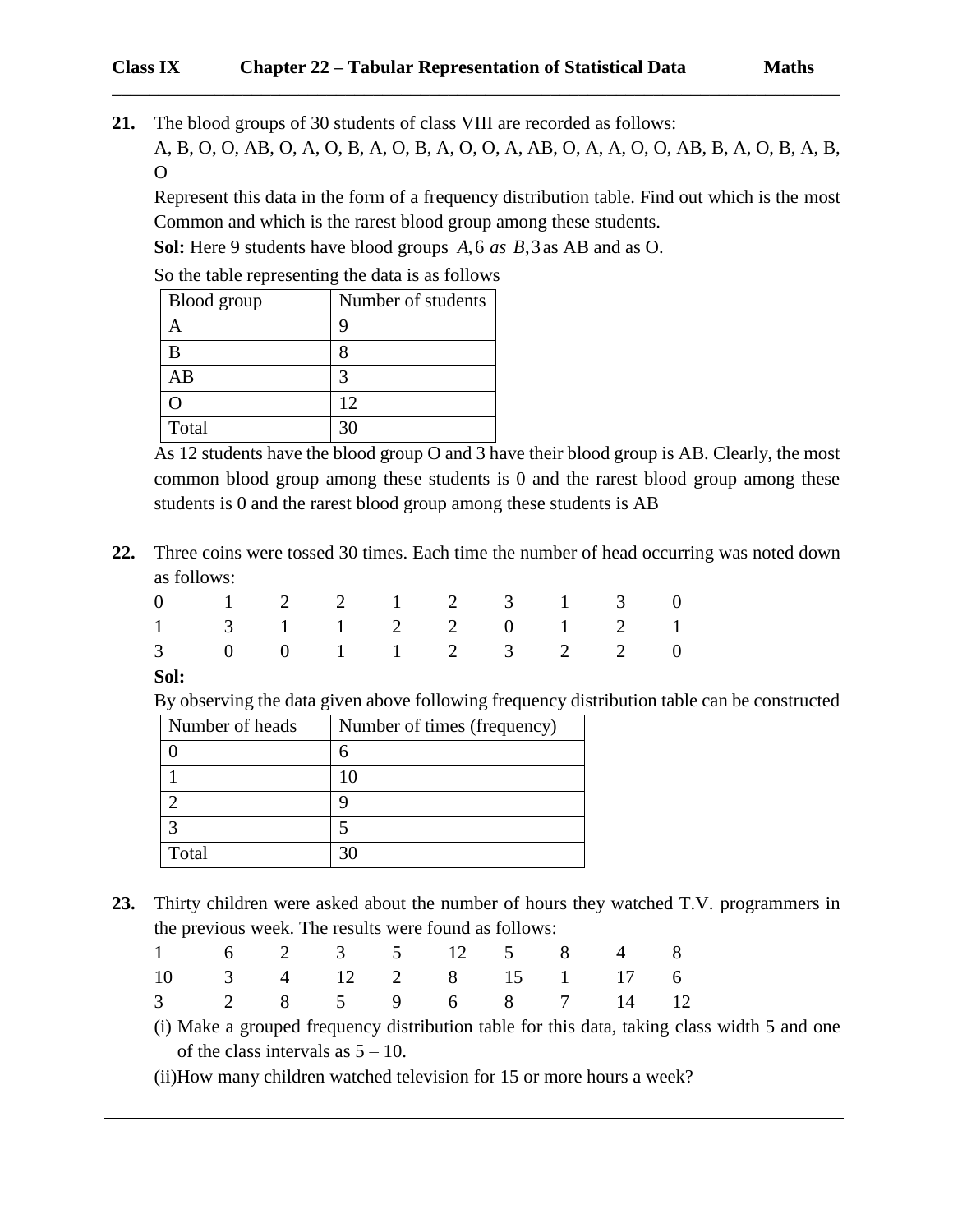**21.** The blood groups of 30 students of class VIII are recorded as follows: A, B, O, O, AB, O, A, O, B, A, O, B, A, O, O, A, AB, O, A, A, O, O, AB, B, A, O, B, A, B, O

\_\_\_\_\_\_\_\_\_\_\_\_\_\_\_\_\_\_\_\_\_\_\_\_\_\_\_\_\_\_\_\_\_\_\_\_\_\_\_\_\_\_\_\_\_\_\_\_\_\_\_\_\_\_\_\_\_\_\_\_\_\_\_\_\_\_\_\_\_\_\_\_\_\_\_\_\_\_

Represent this data in the form of a frequency distribution table. Find out which is the most Common and which is the rarest blood group among these students.

**Sol:** Here 9 students have blood groups *A as B* ,6 ,3 as AB and as O.

So the table representing the data is as follows

| Blood group | Number of students |
|-------------|--------------------|
|             |                    |
|             |                    |
| AB          |                    |
|             | 12                 |
| Total       | 30                 |

As 12 students have the blood group O and 3 have their blood group is AB. Clearly, the most common blood group among these students is 0 and the rarest blood group among these students is 0 and the rarest blood group among these students is AB

**22.** Three coins were tossed 30 times. Each time the number of head occurring was noted down as follows:

| $0 \t 1 \t 2 \t 2 \t 1 \t 2 \t 3 \t 1 \t 3 \t 0$ |  |  |  |  |  |
|--------------------------------------------------|--|--|--|--|--|
| $1 \t 3 \t 1 \t 1 \t 2 \t 2 \t 0 \t 1 \t 2 \t 1$ |  |  |  |  |  |
| 3 0 0 1 1 2 3 2 2 0                              |  |  |  |  |  |

**Sol:**

By observing the data given above following frequency distribution table can be constructed

| Number of heads | Number of times (frequency) |
|-----------------|-----------------------------|
|                 | 6                           |
|                 |                             |
|                 |                             |
|                 |                             |
| Total           |                             |

**23.** Thirty children were asked about the number of hours they watched T.V. programmers in the previous week. The results were found as follows:

| $1 \t 6 \t 2 \t 3 \t 5 \t 12 \t 5 \t 8 \t 4 \t 8$ |  |  |  |  |  |
|---------------------------------------------------|--|--|--|--|--|
| 10 3 4 12 2 8 15 1 17 6                           |  |  |  |  |  |
| 3 2 8 5 9 6 8 7 14 12                             |  |  |  |  |  |

- (i) Make a grouped frequency distribution table for this data, taking class width 5 and one of the class intervals as  $5 - 10$ .
- (ii)How many children watched television for 15 or more hours a week?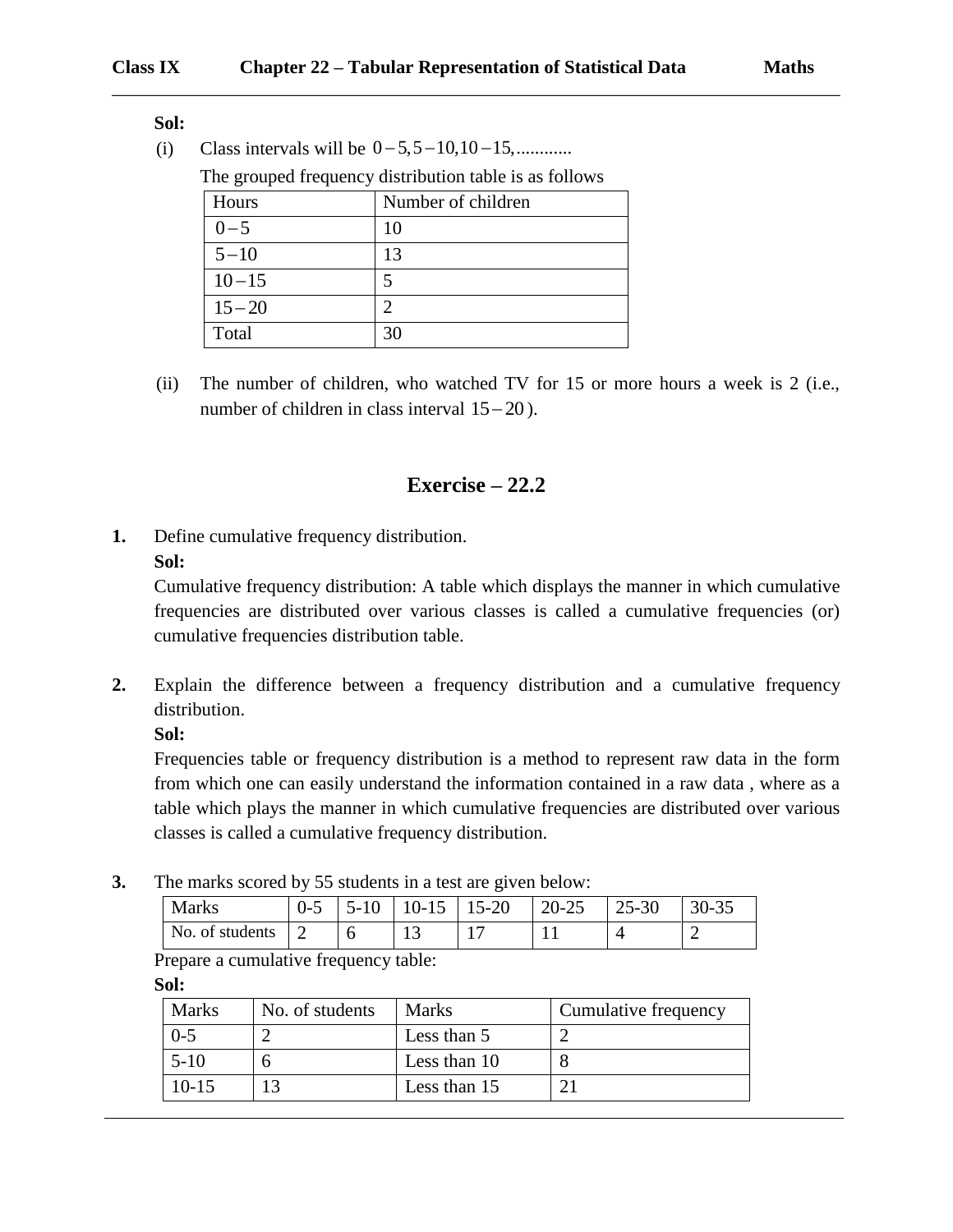**Sol:**

(i) Class intervals will be  $0 - 5, 5 - 10, 10 - 15,$ ............

The grouped frequency distribution table is as follows

| Hours     | Number of children |
|-----------|--------------------|
| $0 - 5$   | 10                 |
| $5 - 10$  | 13                 |
| $10 - 15$ |                    |
| $15 - 20$ | າ                  |
| Total     | 30                 |

(ii) The number of children, who watched TV for 15 or more hours a week is 2 (i.e., number of children in class interval  $15-20$ ).

### **Exercise – 22.2**

**1.** Define cumulative frequency distribution.

**Sol:**

Cumulative frequency distribution: A table which displays the manner in which cumulative frequencies are distributed over various classes is called a cumulative frequencies (or) cumulative frequencies distribution table.

**2.** Explain the difference between a frequency distribution and a cumulative frequency distribution.

**Sol:**

Frequencies table or frequency distribution is a method to represent raw data in the form from which one can easily understand the information contained in a raw data , where as a table which plays the manner in which cumulative frequencies are distributed over various classes is called a cumulative frequency distribution.

**3.** The marks scored by 55 students in a test are given below:

| <b>Marks</b>    | U-J | ㄱ– | 10-15 | $15 - 20$ | $20 - 25$ | $25 - 30$ | 30-35 |
|-----------------|-----|----|-------|-----------|-----------|-----------|-------|
| No. of students | ∸   |    | ⊥J    |           |           |           |       |

Prepare a cumulative frequency table:

**Sol:**

| <b>Marks</b> | No. of students | <b>Marks</b> | Cumulative frequency |
|--------------|-----------------|--------------|----------------------|
| $0 - 5$      |                 | Less than 5  |                      |
| $5 - 10$     |                 | Less than 10 |                      |
| $10-15$      | $\mathbf{z}$    | Less than 15 |                      |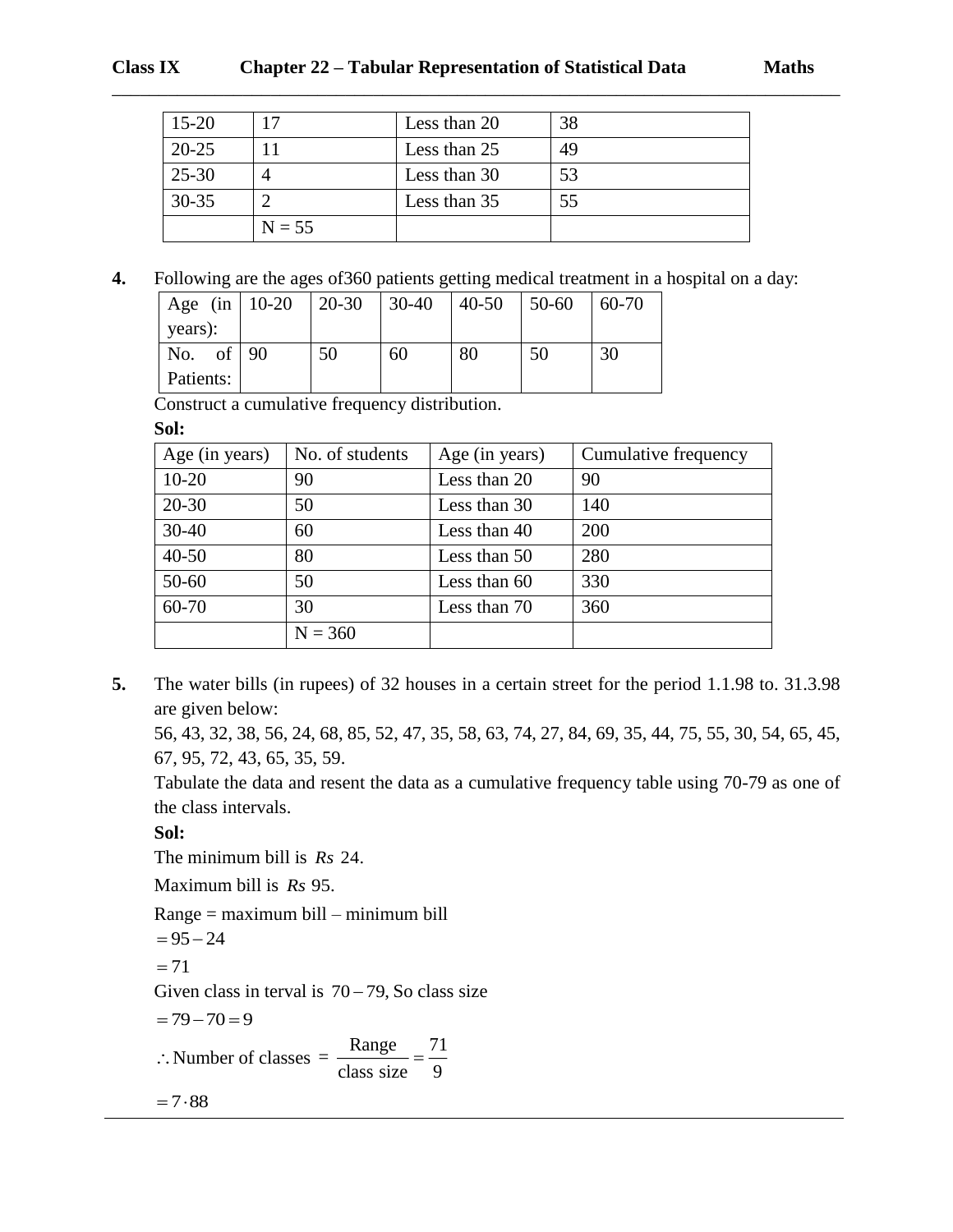| $15 - 20$ |          | Less than 20 | 38 |
|-----------|----------|--------------|----|
| $20 - 25$ |          | Less than 25 | 49 |
| $25 - 30$ |          | Less than 30 | 53 |
| $30 - 35$ |          | Less than 35 | 55 |
|           | $N = 55$ |              |    |

**4.** Following are the ages of360 patients getting medical treatment in a hospital on a day:

| Age (in $10-20$ ) | $ 20-30$ | $ 30-40\rangle$ | $ 40-50 $ | $150-60$ | 60-70 |
|-------------------|----------|-----------------|-----------|----------|-------|
| vears):           |          |                 |           |          |       |
| No. of $90$       | 50       | 60              | 80        | 50       | 30    |
| Patients:         |          |                 |           |          |       |

Construct a cumulative frequency distribution.

**Sol:**

| Age (in years) | No. of students | Age (in years) | Cumulative frequency |
|----------------|-----------------|----------------|----------------------|
| $10 - 20$      | 90              | Less than 20   | 90                   |
| $20 - 30$      | 50              | Less than 30   | 140                  |
| $30 - 40$      | 60              | Less than 40   | 200                  |
| $40 - 50$      | 80              | Less than 50   | 280                  |
| $50 - 60$      | 50              | Less than 60   | 330                  |
| 60-70          | 30              | Less than 70   | 360                  |
|                | $N = 360$       |                |                      |

**5.** The water bills (in rupees) of 32 houses in a certain street for the period 1.1.98 to. 31.3.98 are given below:

56, 43, 32, 38, 56, 24, 68, 85, 52, 47, 35, 58, 63, 74, 27, 84, 69, 35, 44, 75, 55, 30, 54, 65, 45, 67, 95, 72, 43, 65, 35, 59.

Tabulate the data and resent the data as a cumulative frequency table using 70-79 as one of the class intervals.

**Sol:**

The minimum bill is *Rs* 24.

Maximum bill is *Rs* 95.

Range = maximum bill – minimum bill  $= 95 - 24$  $= 71$ Given class in terval is  $70 - 79$ , So class size  $= 79 - 70 = 9$  $\therefore$  Number of classes =  $\frac{\text{Range}}{\text{class size}} = \frac{71}{9}$  $= 7.88$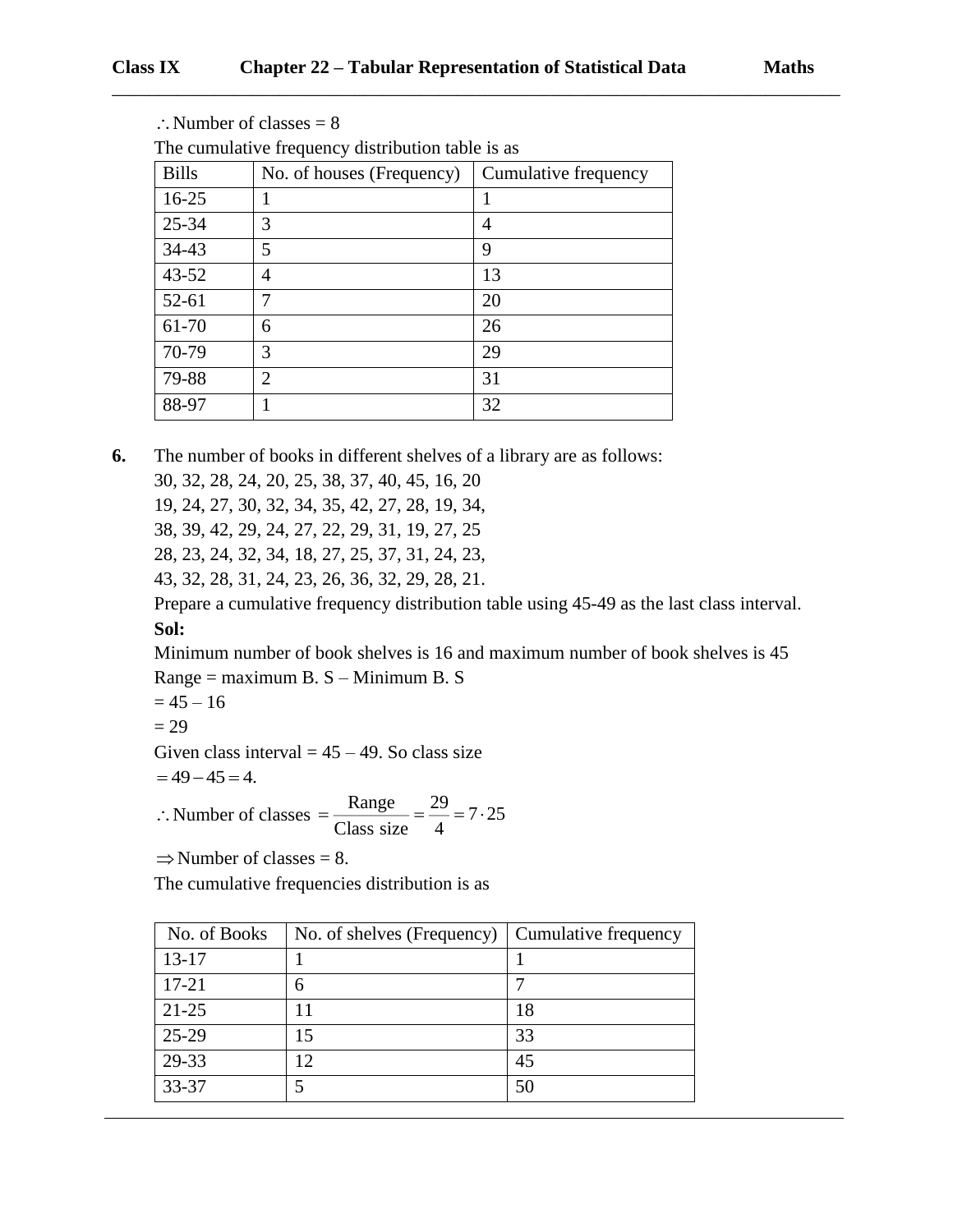| The cumulative frequency distribution table is as |                           |                      |  |  |
|---------------------------------------------------|---------------------------|----------------------|--|--|
| <b>Bills</b>                                      | No. of houses (Frequency) | Cumulative frequency |  |  |
| $16-25$                                           |                           |                      |  |  |
| 25-34                                             | 3                         | 4                    |  |  |
| 34-43                                             | 5                         | 9                    |  |  |
| $43 - 52$                                         | 4                         | 13                   |  |  |
| $52 - 61$                                         | 7                         | 20                   |  |  |
| 61-70                                             | 6                         | 26                   |  |  |
| 70-79                                             | 3                         | 29                   |  |  |
| 79-88                                             | 2                         | 31                   |  |  |
| 88-97                                             |                           | 32                   |  |  |

 $\therefore$  Number of classes = 8

**6.** The number of books in different shelves of a library are as follows:

30, 32, 28, 24, 20, 25, 38, 37, 40, 45, 16, 20

19, 24, 27, 30, 32, 34, 35, 42, 27, 28, 19, 34,

38, 39, 42, 29, 24, 27, 22, 29, 31, 19, 27, 25

28, 23, 24, 32, 34, 18, 27, 25, 37, 31, 24, 23,

43, 32, 28, 31, 24, 23, 26, 36, 32, 29, 28, 21.

Prepare a cumulative frequency distribution table using 45-49 as the last class interval. **Sol:**

Minimum number of book shelves is 16 and maximum number of book shelves is 45 Range = maximum B. S – Minimum B. S

 $= 45 - 16$ 

 $= 29$ 

Given class interval  $= 45 - 49$ . So class size

$$
=49-45=4.
$$

 $\therefore$  Number of classes  $=\frac{\text{Range}}{\text{Area}} = \frac{29}{4} = 7.25$  $=\frac{2}{\text{Class size}} = \frac{2}{4}$ 

 $\Rightarrow$  Number of classes = 8.

The cumulative frequencies distribution is as

| No. of Books | No. of shelves (Frequency) | Cumulative frequency |
|--------------|----------------------------|----------------------|
| $13 - 17$    |                            |                      |
| $17 - 21$    | 6                          |                      |
| $21 - 25$    |                            | 18                   |
| 25-29        | ۱5                         | 33                   |
| 29-33        |                            | 45                   |
| 33-37        |                            | 50                   |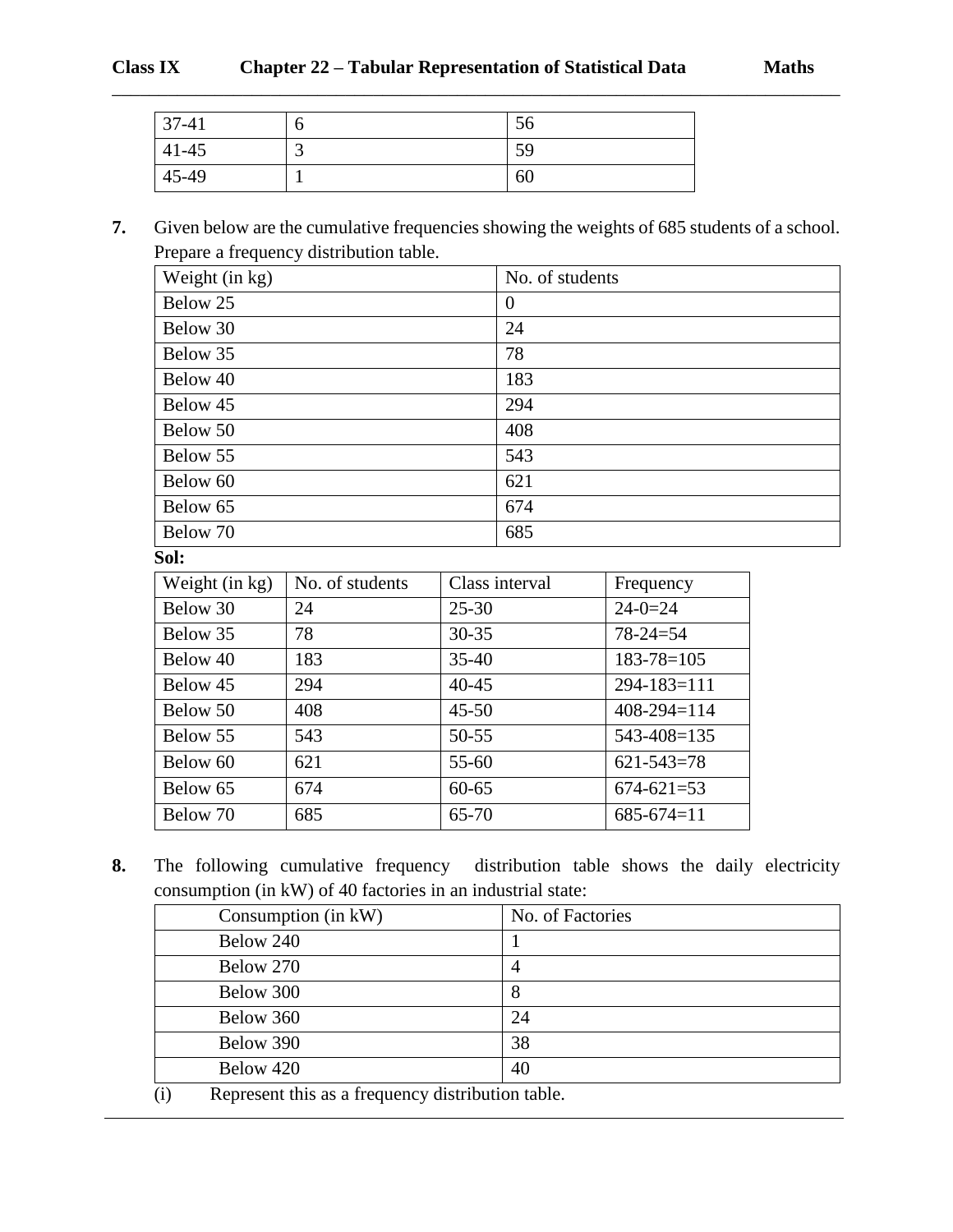| $37-41$   |   | $\epsilon$<br>50 |
|-----------|---|------------------|
| $41 - 45$ | ັ | 59               |
| 45-49     |   | 60               |

# **7.** Given below are the cumulative frequencies showing the weights of 685 students of a school. Prepare a frequency distribution table.

\_\_\_\_\_\_\_\_\_\_\_\_\_\_\_\_\_\_\_\_\_\_\_\_\_\_\_\_\_\_\_\_\_\_\_\_\_\_\_\_\_\_\_\_\_\_\_\_\_\_\_\_\_\_\_\_\_\_\_\_\_\_\_\_\_\_\_\_\_\_\_\_\_\_\_\_\_\_

| Weight (in kg) | No. of students |
|----------------|-----------------|
| Below 25       | $\theta$        |
| Below 30       | 24              |
| Below 35       | 78              |
| Below 40       | 183             |
| Below 45       | 294             |
| Below 50       | 408             |
| Below 55       | 543             |
| Below 60       | 621             |
| Below 65       | 674             |
| Below 70       | 685             |

**Sol:**

| Weight (in kg) | No. of students | Class interval | Frequency         |
|----------------|-----------------|----------------|-------------------|
| Below 30       | 24              | $25 - 30$      | $24 - 0 = 24$     |
| Below 35       | 78              | $30 - 35$      | $78 - 24 = 54$    |
| Below 40       | 183             | $35-40$        | $183 - 78 = 105$  |
| Below 45       | 294             | $40 - 45$      | $294 - 183 = 111$ |
| Below 50       | 408             | $45 - 50$      | $408 - 294 = 114$ |
| Below 55       | 543             | $50 - 55$      | 543-408=135       |
| Below 60       | 621             | $55 - 60$      | $621 - 543 = 78$  |
| Below 65       | 674             | $60 - 65$      | $674 - 621 = 53$  |
| Below 70       | 685             | 65-70          | $685-674=11$      |

**8.** The following cumulative frequency distribution table shows the daily electricity consumption (in kW) of 40 factories in an industrial state:

| Consumption (in kW)                                                          | No. of Factories |  |
|------------------------------------------------------------------------------|------------------|--|
| Below 240                                                                    |                  |  |
| Below 270                                                                    | 4                |  |
| Below 300                                                                    | 8                |  |
| Below 360                                                                    | 24               |  |
| Below 390                                                                    | 38               |  |
| Below 420                                                                    | 40               |  |
| $\left( \cdot \right)$<br>Denneseut this es a fue suen en distuiturien tekle |                  |  |

(i) Represent this as a frequency distribution table.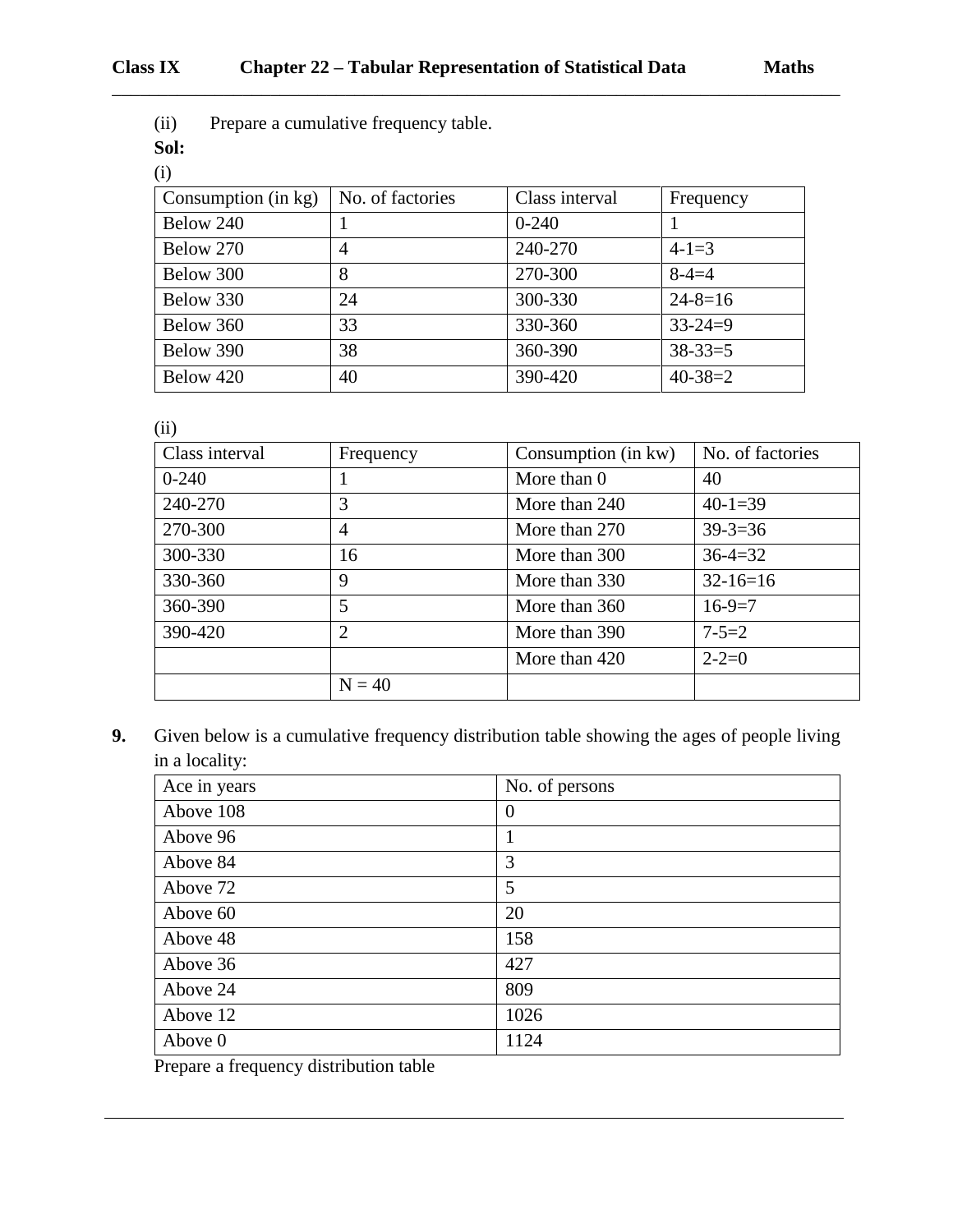(ii) Prepare a cumulative frequency table.

**Sol:**

| (i)                 |                  |                |               |
|---------------------|------------------|----------------|---------------|
| Consumption (in kg) | No. of factories | Class interval | Frequency     |
| Below 240           |                  | $0-240$        |               |
| Below 270           | 4                | 240-270        | $4-1=3$       |
| Below 300           | 8                | 270-300        | $8 - 4 = 4$   |
| Below 330           | 24               | 300-330        | $24 - 8 = 16$ |
| Below 360           | 33               | 330-360        | $33 - 24 = 9$ |
| Below 390           | 38               | 360-390        | $38 - 33 = 5$ |
| Below 420           | 40               | 390-420        | $40 - 38 = 2$ |

\_\_\_\_\_\_\_\_\_\_\_\_\_\_\_\_\_\_\_\_\_\_\_\_\_\_\_\_\_\_\_\_\_\_\_\_\_\_\_\_\_\_\_\_\_\_\_\_\_\_\_\_\_\_\_\_\_\_\_\_\_\_\_\_\_\_\_\_\_\_\_\_\_\_\_\_\_\_

(ii)

| Class interval | Frequency      | Consumption (in kw) | No. of factories |
|----------------|----------------|---------------------|------------------|
| $0-240$        |                | More than 0         | 40               |
| 240-270        | 3              | More than 240       | $40-1=39$        |
| 270-300        | 4              | More than 270       | $39 - 3 = 36$    |
| 300-330        | 16             | More than 300       | $36 - 4 = 32$    |
| 330-360        | 9              | More than 330       | $32-16=16$       |
| 360-390        | 5              | More than 360       | $16-9=7$         |
| 390-420        | $\overline{2}$ | More than 390       | $7 - 5 = 2$      |
|                |                | More than 420       | $2 - 2 = 0$      |
|                | $N = 40$       |                     |                  |

**9.** Given below is a cumulative frequency distribution table showing the ages of people living in a locality:

| Ace in years | No. of persons |
|--------------|----------------|
| Above 108    | $\theta$       |
| Above 96     |                |
| Above 84     | 3              |
| Above 72     | 5              |
| Above 60     | 20             |
| Above 48     | 158            |
| Above 36     | 427            |
| Above 24     | 809            |
| Above 12     | 1026           |
| Above 0      | 1124           |

Prepare a frequency distribution table